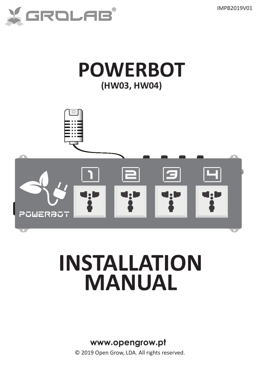





### **INSTALLATION MANUAL**

#### **www.opengrow.pt**

© 2019 Open Grow, LDA. All rights reserved.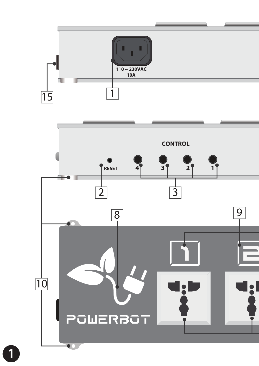

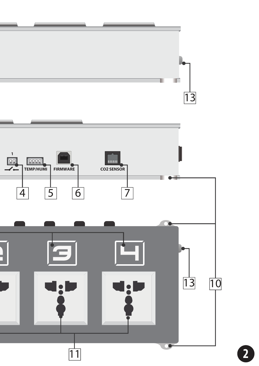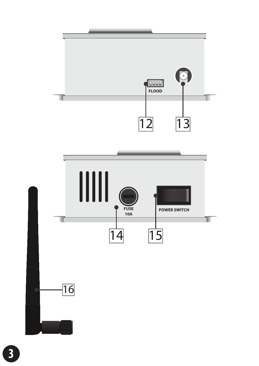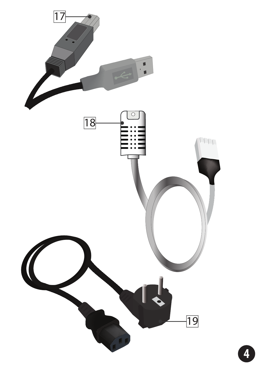

 $\overline{\mathcal{A}}$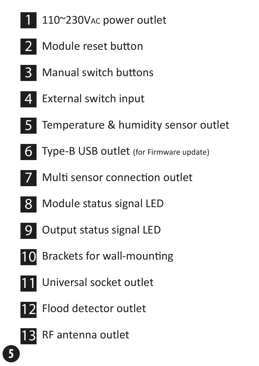

- 2 Module reset button
- Manual switch buttons
- $\overline{A}$  External switch input
- 5 Temperature & humidity sensor outlet
- Type-B USB outlet (for Firmware update)
- 7 Multi sensor connection outlet
- 8 Module status signal LED
- Output status signal LED
- 10 Brackets for wall-mounting
- Universal socket outlet
- 12 Flood detector outlet
- **B** RF antenna outlet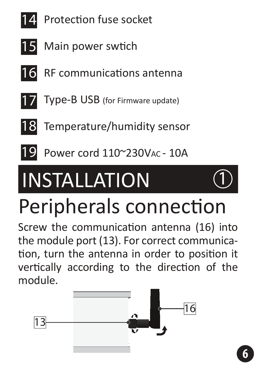

- Main power swtich 15
- 16 RF communications antenna 16
- Type-B USB (for Firmware update)
- 18 Temperature/humidity sensor <u>-</u> 18
- Power cord 110~230VAC 10A

#### INSTALLATION 19



#### Peripherals connection  $\geq$ P

Screw the communication antenna (16) into the module port (13). For correct communication, turn the antenna in order to position it vertically according to the direction of the module. m

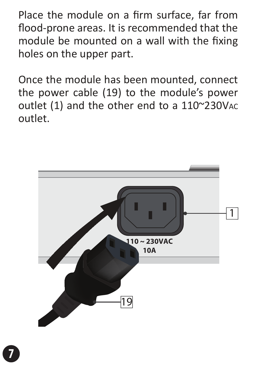Place the module on a firm surface, far from flood-prone areas. It is recommended that the module be mounted on a wall with the fixing holes on the upper part.

Once the module has been mounted, connect the power cable (19) to the module's power power outlet (1) and the other end to a 110~230VAc<br>outlet. outlet.

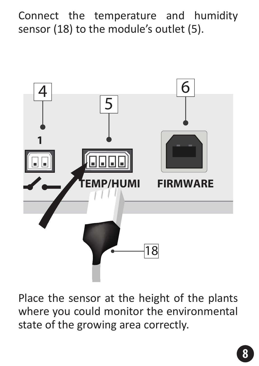Connect the temperature and humidity sensor (18) to the module's outlet (5). s



Place the sensor at the height of the plants where you could monitor the environmental state of the growing area correctly.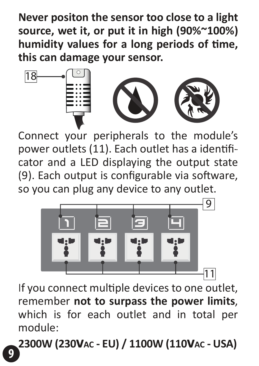**Never positon the sensor too close to a light source, wet it, or put it in high (90%~100%)**  humidity values for a long periods of time, **this can damage your sensor. t**



Connect your peripherals to the module's power outlets (11). Each outlet has a identificator and a LED displaying the output state (9). Each output is configurable via software, so you can plug any device to any outlet. s



If you connect multiple devices to one outlet, remember not to surpass the power limits, which is for each outlet and in total per module: m

**2300W (230vAC - EU) / 1100W (110vAC - USA)**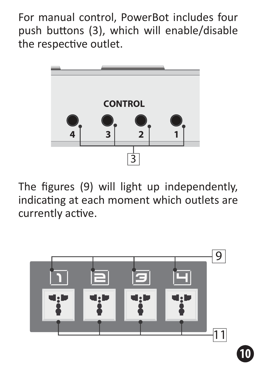For manual control, PowerBot includes four push buttons (3), which will enable/disable the respective outlet.



The figures (9) will light up independently, indicating at each moment which outlets are currently active.



**10**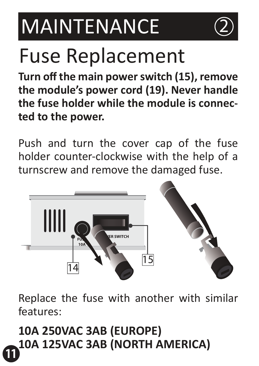# **MAINTENANCE**



## Fuse Replacement

**Turn off the main power switch (15), remove remove the module's power cord (19). Never handle handle the fuse holder while the module is connec-t ted to the power. t**

Push and turn the cover cap of the fuse holder counter-clockwise with the help of a turnscrew and remove the damaged fuse.



Replace the fuse with another with similar features: f

**10A 250VAC 3AB (EUROPE) 1 10A 125VAC 3AB (NORTH AMERICA) 1 11**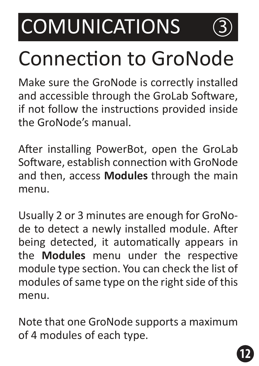# **COMUNICATIONS**



### Connection to GroNode **Connection to GroNode**<br>Make sure the GroNode is correctly installed

Make sure the GroNode is correctly installed and accessible through the GroLab Software, if not follow the instructions provided inside the GroNode's manual.

After installing PowerBot, open the GroLab Software, establish connection with GroNode and then, access Modules through the main menu. m

Usually 2 or 3 minutes are enough for GroNode to detect a newly installed module. After being detected, it automatically appears in the **Modules** menu under the respective module type section. You can check the list of modules of same type on the right side of this menu. m

Note that one GroNode supports a maximum of 4 modules of each type.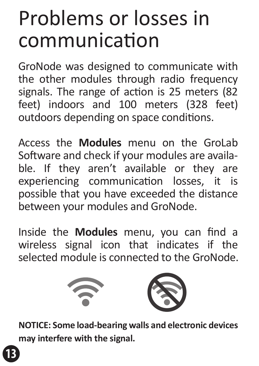### Problems or losses in communicaƟon

GroNode was designed to communicate with the other modules through radio frequency signals. The range of action is 25 meters (82 feet) indoors and 100 meters (328 feet) outdoors depending on space conditions.

Access the **Modules** menu on the GroLab Software and check if your modules are available. If they aren't available or they are experiencing communication losses, it is possible that you have exceeded the distance between your modules and GroNode.

Inside the **Modules** menu, you can find a wireless signal icon that indicates if the selected module is connected to the GroNode.



**NOTICE: Some load-bearing walls and electronic devices may interfere with the signal.** 

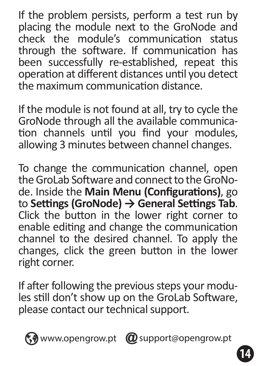If the problem persists, perform a test run by placing the module next to the GroNode and check the module's communication status through the software. If communication has been successfully re-established, repeat this operation at different distances until you detect the maximum communication distance.

If the module is not found at all, try to cycle the GroNode through all the available communication channels until you find your modules, allowing 3 minutes between channel changes.

To change the communication channel, open the GroLab Software and connect to the GroNode. Inside the **Main Menu (Configurations)**, go<br>to **Settings (GroNode) -> General Settings Tab.** Click the button in the lower right corner to enable editing and change the communication channel to the desired channel. To apply the changes, click the green button in the lower right corner.

If after following the previous steps your modules still don't show up on the GroLab Software, please contact our technical support.

www.opengrompt  $\sum_{i=1}^{\infty}$ oppengrow.pt

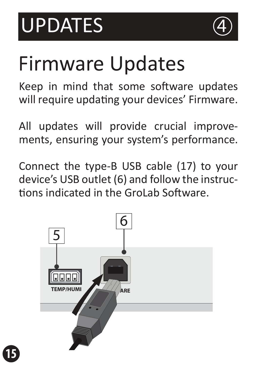

## **Firmware Updates**

Keep in mind that some software updates will require updating your devices' Firmware.

All updates will provide crucial improvements, ensuring your system's performance.

Connect the type-B USB cable (17) to your device's USB outlet (6) and follow the instructions indicated in the GroLab Software

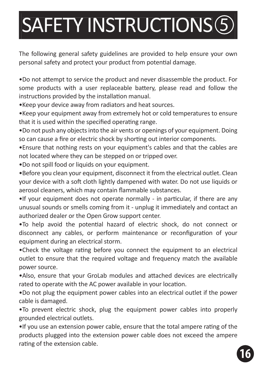# **SAFETY INSTRUCTIONS**

The following general safety guidelines are provided to help ensure your own personal safety and protect your product from potential damage.

. Do not attempt to service the product and never disassemble the product. For some products with a user replaceable battery, please read and follow the instructions provided by the installation manual.

•Keep your device away from radiators and heat sources. •

•Keep your equipment away from extremely hot or cold temperatures to ensure that it is used within the specified operating range.

•Do not push any objects into the air vents or openings of your equipment. Doing so can cause a fire or electric shock by shorting out interior components.

•Ensure that nothing rests on your equipment's cables and that the cables are not located where they can be stepped on or tripped over. n

•Do not spill food or liquids on your equipment. •

•Before you clean your equipment, disconnect it from the electrical outlet. Clean  $\bullet$ Before you clean your equipment, disconnect it from the electrical outlet. Clean<br>your device with a soft cloth lightly dampened with water. Do not use liquids or aerosol cleaners, which may contain flammable substances. a

•If your equipment does not operate normally - in particular, if there are any unusual sounds or smells coming from it - unplug it immediately and contact an authorized dealer or the Open Grow support center. a

. To help avoid the potential hazard of electric shock, do not connect or disconnect any cables, or perform maintenance or reconfiguration of your equipment during an electrical storm. e

. Check the voltage rating before you connect the equipment to an electrical outlet to ensure that the required voltage and frequency match the available power source. p

•Also, ensure that your GroLab modules and attached devices are electrically rated to operate with the AC power available in your location.

•Do not plug the equipment power cables into an electrical outlet if the powe power cable is damaged. c

. To prevent electric shock, plug the equipment power cables into properly grounded electrical outlets. g

•If you use an extension power cable, ensure that the total ampere rating of the •If you use an extension power cable, ensure that the total ampere rating of the<br>products plugged into the extension power cable does not exceed the ampere<br>rating of the extension cable. rating of the extension cable.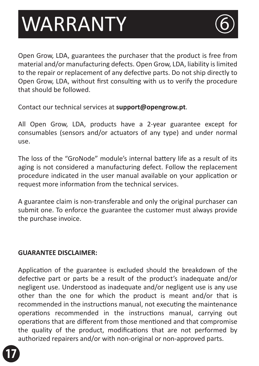### **WARRANTY**



material and/or manufacturing defects. Open Grow, LDA, liability is limited to the repair or replacement of any defective parts. Do not ship directly to Open Grow, LDA, without first consulting with us to verify the procedure that should be followed.

Contact our technical services at **support@opengrow.pt**.

All Open Grow, LDA, products have a 2-year guarantee except for consumables (sensors and/or actuators of any type) and under normal use.

The loss of the "GroNode" module's internal battery life as a result of its aging is not considered a manufacturing defect. Follow the replacement procedure indicated in the user manual available on your application or .<br>request more information from the technical services.

A guarantee claim is non-transferable and only the original purchaser can submit one. To enforce the guarantee the customer must always provide the purchase invoice.

#### **GUARANTEE DISCLAIMER:**

*Dena Grow, LDA, guarantees the purchaser that the product is free from***<br>** *Pack and/or manufacturing defects. Open Grow, LDA, liability is limited<br>
to the repair or replacement of any defective parts. Do not ship directly* Application of the guarantee is excluded should the breakdown of the defective part or parts be a result of the product's inadequate and/or negligent use. Understood as inadequate and/or negligent use is any use other than the one for which the product is meant and/or that is recommended in the instructions manual, not executing the maintenance operations recommended in the instructions manual, carrying out operations that are different from those mentioned and that compromise the quality of the product, modifications that are not performed by authorized repairers and/or with non-original or non-approved parts.

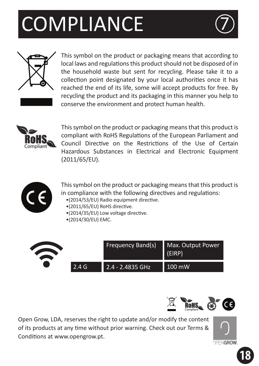# **OMPLIANCE**





This symbol on the product or packaging means that according to This symbol on the product or packaging means that according to<br>local laws and regulations this product should not be disposed of in the household waste but sent for recycling. Please take it to a collection point designated by your local authorities once it has collection point designated by your local authorities once it has<br>reached the end of its life, some will accept products for free. By recycling the product and its packaging in this manner you help to conserve the environment and protect human health.



This symbol on the product or packaging means that this product is This symbol on the product or packaging means that this product is<br>compliant with RoHS Regulations of the European Parliament and Council Directive on the Restrictions of the Use of Certain Hazardous Substances in Electrical and Electronic Equipment (2011/65/EU).



This symbol on the product or packaging means that this product is s in compliance with the following directives and regulations:

- •(2014/53/EU) Radio equipment directive.
- $\bullet$ (2011/65/EU) RoHS directive.
- $\bullet$ (2014/35/EU) Low voltage directive.
- •(2014/30/EU) EMC.





Open Grow, LDA, reserves the right to update and/or modify the content of its products at any time without prior warning. Check out our Terms & Conditions at www.opengrow.pt.



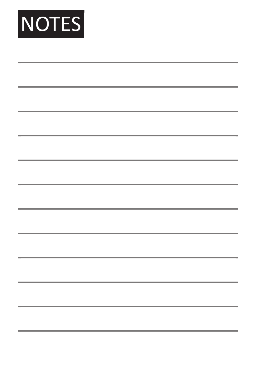

| <u> 1989 - Johann Harry Harry Harry Harry Harry Harry Harry Harry Harry Harry Harry Harry Harry Harry Harry Harry</u>   |  |  |
|-------------------------------------------------------------------------------------------------------------------------|--|--|
| <u> 1989 - Johann Harry Harry Harry Harry Harry Harry Harry Harry Harry Harry Harry Harry Harry Harry Harry Harry H</u> |  |  |
|                                                                                                                         |  |  |
| <u> Andreas Andreas Andreas Andreas Andreas Andreas Andreas Andreas Andreas Andreas Andreas Andreas Andreas Andreas</u> |  |  |
|                                                                                                                         |  |  |
| <u> 1989 - Andrea Stadt Britain, amerikansk politik (d. 1989)</u>                                                       |  |  |
| <u> 1989 - Johann Harry Harry Harry Harry Harry Harry Harry Harry Harry Harry Harry Harry Harry Harry Harry Harry H</u> |  |  |
| <u> 1989 - Johann Stoff, deutscher Stoff, der Stoff, der Stoff, der Stoff, der Stoff, der Stoff, der Stoff, der S</u>   |  |  |
| <u> 1989 - Johann Harry Harry Harry Harry Harry Harry Harry Harry Harry Harry Harry Harry Harry Harry Harry Harry H</u> |  |  |
| <u> La componenta de la componenta de la componenta de la componenta de la componenta de la componenta de la compo</u>  |  |  |
| <u> 1989 - Johann Barn, amerikansk politiker (d. 1989)</u>                                                              |  |  |
|                                                                                                                         |  |  |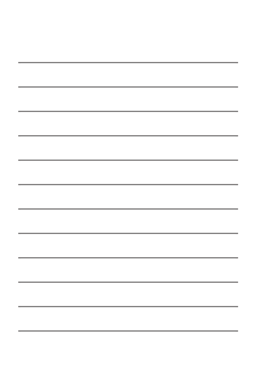|                                                                                                                      | <u> 1989 - Andrea Stadt Britain, amerikansk politik (* 1989)</u>                                                     |
|----------------------------------------------------------------------------------------------------------------------|----------------------------------------------------------------------------------------------------------------------|
|                                                                                                                      | <u> 1989 - Andrea Stadt Britain, amerikansk politik (* 1989)</u>                                                     |
|                                                                                                                      |                                                                                                                      |
|                                                                                                                      | <u> 1989 - Andrea Stadt Britain, amerikansk politik (* 1958)</u>                                                     |
|                                                                                                                      | $\overline{\phantom{a}}$                                                                                             |
|                                                                                                                      |                                                                                                                      |
|                                                                                                                      |                                                                                                                      |
|                                                                                                                      | ,一个人的人,一个人的人,一个人的人,一个人的人,一个人的人,一个人的人,一个人的人,一个人的人,一个人的人,一个人的人,一个人的人,一个人的人,一个人的人,一                                     |
|                                                                                                                      | <u> 1989 - Jan Barat de Barat de la Barat de la Barat de la Barat de la Barat de la Barat de la Barat de la Bara</u> |
|                                                                                                                      |                                                                                                                      |
|                                                                                                                      | <u> 1989 - Jan Samuel Barbara, marka a shekara ta 1989 - An tsara tsara tsara tsara tsara tsara tsara tsara tsar</u> |
|                                                                                                                      |                                                                                                                      |
|                                                                                                                      |                                                                                                                      |
|                                                                                                                      |                                                                                                                      |
| <u> 2000 - Andrea Santa Andrea Santa Andrea Santa Andrea Santa Andrea Santa Andrea Santa Andrea Santa Andrea San</u> |                                                                                                                      |